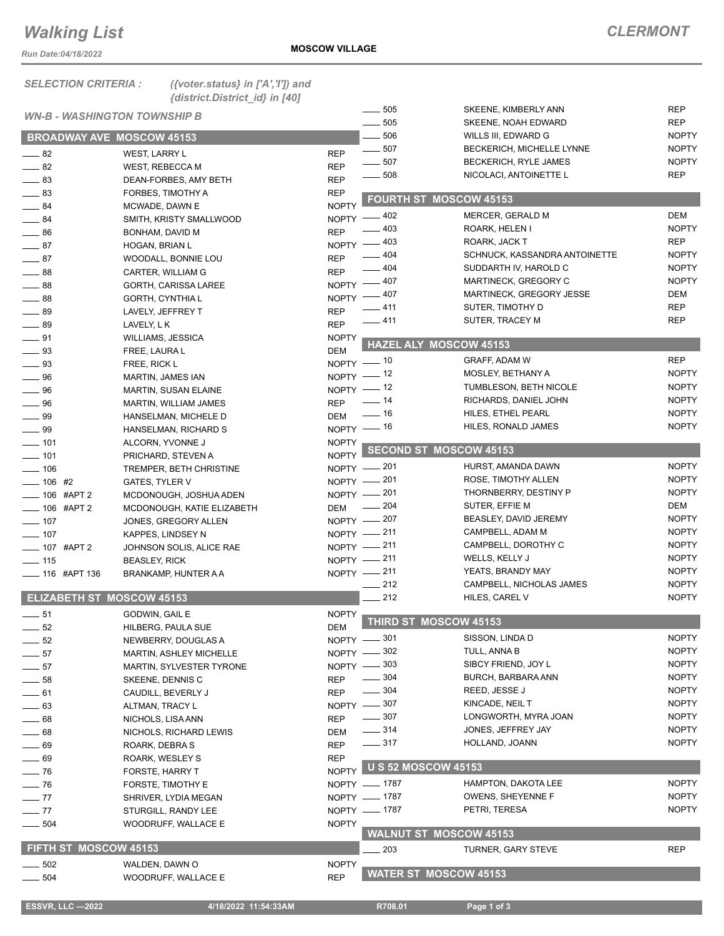## *Walking List*

*Run Date:04/18/2022*

| <b>SELECTION CRITERIA :</b>         | ({voter.status} in $['A', 'T']$ ) and<br>{district.District_id} in [40] |                         |                           |                               |              |
|-------------------------------------|-------------------------------------------------------------------------|-------------------------|---------------------------|-------------------------------|--------------|
| <b>WN-B - WASHINGTON TOWNSHIP B</b> |                                                                         |                         | $\frac{1}{2}$ 505         | SKEENE, KIMBERLY ANN          | <b>REP</b>   |
|                                     |                                                                         |                         | $\frac{1}{2}$ 505         | SKEENE, NOAH EDWARD           | <b>REP</b>   |
| <b>BROADWAY AVE MOSCOW 45153</b>    |                                                                         |                         | $-506$                    | WILLS III, EDWARD G           | <b>NOPTY</b> |
| $-82$                               | <b>WEST, LARRY L</b>                                                    | <b>REP</b>              | $-507$                    | BECKERICH, MICHELLE LYNNE     | <b>NOPTY</b> |
| $\frac{1}{2}$ 82                    | WEST, REBECCA M                                                         | <b>REP</b>              | $-507$                    | <b>BECKERICH, RYLE JAMES</b>  | <b>NOPTY</b> |
| $\equiv$ 83                         | DEAN-FORBES, AMY BETH                                                   | <b>REP</b>              | $\frac{1}{2}$ 508         | NICOLACI, ANTOINETTE L        | <b>REP</b>   |
| $\frac{1}{2}$ 83                    | FORBES, TIMOTHY A                                                       | <b>REP</b>              |                           |                               |              |
| $\frac{1}{2}$ 84                    | MCWADE, DAWN E                                                          | <b>NOPTY</b>            |                           | <b>FOURTH ST MOSCOW 45153</b> |              |
| $\frac{1}{2}$ 84                    | SMITH, KRISTY SMALLWOOD                                                 |                         | NOPTY -402                | MERCER, GERALD M              | DEM          |
| $\frac{1}{2}$ 86                    | BONHAM, DAVID M                                                         | <b>REP</b>              | _ 403                     | ROARK, HELEN I                | <b>NOPTY</b> |
| $\frac{1}{2}$ 87                    | HOGAN, BRIAN L                                                          | NOPTY -                 | $-403$                    | ROARK, JACK T                 | REP          |
| $-87$                               | WOODALL, BONNIE LOU                                                     | <b>REP</b>              | $-404$                    | SCHNUCK, KASSANDRA ANTOINETTE | <b>NOPTY</b> |
| $\frac{1}{2}$ 88                    | CARTER, WILLIAM G                                                       | <b>REP</b>              | $-404$                    | SUDDARTH IV, HAROLD C         | <b>NOPTY</b> |
| $-88$                               | <b>GORTH, CARISSA LAREE</b>                                             | NOPTY -                 | $=$ 407 $\,$              | MARTINECK, GREGORY C          | <b>NOPTY</b> |
| $-88$                               | GORTH, CYNTHIA L                                                        |                         | NOPTY - 407               | MARTINECK, GREGORY JESSE      | DEM          |
| $-89$                               | LAVELY, JEFFREY T                                                       | <b>REP</b>              | $-411$                    | SUTER, TIMOTHY D              | <b>REP</b>   |
| $\frac{1}{2}$ 89                    | LAVELY, L K                                                             | <b>REP</b>              | $-411$                    | SUTER, TRACEY M               | <b>REP</b>   |
| $-91$                               | WILLIAMS, JESSICA                                                       | <b>NOPTY</b>            |                           |                               |              |
| $\frac{1}{2}$ 93                    | FREE, LAURA L                                                           | <b>DEM</b>              |                           | HAZEL ALY MOSCOW 45153        |              |
| $\frac{1}{2}$ 93                    | FREE, RICK L                                                            |                         | $NOPTY$ - 10              | GRAFF, ADAM W                 | <b>REP</b>   |
| $\equiv$ 96                         | MARTIN, JAMES IAN                                                       |                         | NOPTY $-$ 12              | MOSLEY, BETHANY A             | <b>NOPTY</b> |
| $-96$                               |                                                                         |                         | NOPTY -12                 | TUMBLESON, BETH NICOLE        | <b>NOPTY</b> |
| $\frac{1}{2}$ 96                    | MARTIN, SUSAN ELAINE<br><b>MARTIN, WILLIAM JAMES</b>                    | <b>REP</b>              | $\frac{1}{2}$ 14          | RICHARDS, DANIEL JOHN         | <b>NOPTY</b> |
|                                     |                                                                         | <b>DEM</b>              | $\frac{1}{16}$            | HILES, ETHEL PEARL            | <b>NOPTY</b> |
| $\frac{1}{2}$ 99                    | HANSELMAN, MICHELE D                                                    |                         | $NOPTY$ - 16              | HILES, RONALD JAMES           | <b>NOPTY</b> |
| $\_\_\$ 99                          | HANSELMAN, RICHARD S                                                    |                         |                           |                               |              |
| $\frac{1}{2}$ 101                   | ALCORN, YVONNE J                                                        | <b>NOPTY</b><br>NOPTY I |                           | <b>SECOND ST MOSCOW 45153</b> |              |
| $- 101$                             | PRICHARD, STEVEN A                                                      |                         | NOPTY - 201               | HURST, AMANDA DAWN            | <b>NOPTY</b> |
| $- 106$                             | TREMPER, BETH CHRISTINE                                                 |                         | NOPTY - 201               | ROSE, TIMOTHY ALLEN           | <b>NOPTY</b> |
| $- 106$ #2                          | <b>GATES, TYLER V</b>                                                   |                         | NOPTY - 201               | THORNBERRY, DESTINY P         | <b>NOPTY</b> |
| $- 106$ #APT 2                      | MCDONOUGH, JOSHUA ADEN                                                  |                         | $\frac{1}{204}$           | SUTER, EFFIE M                | DEM          |
| $\frac{1}{2}$ 106 #APT 2            | MCDONOUGH, KATIE ELIZABETH                                              | <b>DEM</b>              | NOPTY - 207               | BEASLEY, DAVID JEREMY         | <b>NOPTY</b> |
| $- 107$                             | JONES, GREGORY ALLEN                                                    |                         | NOPTY - 211               | CAMPBELL, ADAM M              | <b>NOPTY</b> |
| $\frac{1}{2}$ 107                   | KAPPES, LINDSEY N                                                       |                         | NOPTY - 211               | CAMPBELL, DOROTHY C           | <b>NOPTY</b> |
| <b>____ 107 #APT 2</b>              | JOHNSON SOLIS, ALICE RAE                                                |                         | NOPTY -211                | WELLS, KELLY J                | <b>NOPTY</b> |
| $\frac{1}{2}$ 115                   | <b>BEASLEY, RICK</b>                                                    |                         | NOPTY -211                | YEATS, BRANDY MAY             | <b>NOPTY</b> |
| <b>_____ 116 #APT 136</b>           | BRANKAMP, HUNTER A A                                                    |                         | $-212$                    | CAMPBELL, NICHOLAS JAMES      | <b>NOPTY</b> |
| <b>ELIZABETH ST MOSCOW 45153</b>    |                                                                         |                         |                           |                               | <b>NOPTY</b> |
|                                     |                                                                         |                         | _ 212                     | HILES, CAREL V                |              |
| $-51$                               | GODWIN, GAIL E                                                          | <b>NOPTY</b>            |                           | <b>THIRD ST MOSCOW 45153</b>  |              |
| $\frac{1}{2}$ 52                    | HILBERG, PAULA SUE                                                      | <b>DEM</b>              |                           |                               | <b>NOPTY</b> |
| $\frac{1}{2}$ 52                    | NEWBERRY, DOUGLAS A                                                     |                         | NOPTY -801                | SISSON, LINDA D               | <b>NOPTY</b> |
| $\frac{1}{2}$ 57                    | <b>MARTIN, ASHLEY MICHELLE</b>                                          |                         | NOPTY -802                | TULL, ANNA B                  |              |
| $\frac{1}{2}$ 57                    | MARTIN, SYLVESTER TYRONE                                                |                         | NOPTY -803                | SIBCY FRIEND, JOY L           | <b>NOPTY</b> |
| $\sim$ 58                           | SKEENE, DENNIS C                                                        | <b>REP</b>              | $\frac{1}{2}$ 304         | BURCH, BARBARA ANN            | <b>NOPTY</b> |
| $-61$                               | CAUDILL, BEVERLY J                                                      | <b>REP</b>              | $\frac{1}{2}$ 304         | REED, JESSE J                 | <b>NOPTY</b> |
| $\frac{1}{2}$ 63                    | ALTMAN, TRACY L                                                         |                         | NOPTY -807                | KINCADE, NEIL T               | <b>NOPTY</b> |
| $\frac{1}{2}$ 68                    | NICHOLS, LISA ANN                                                       | <b>REP</b>              | $\frac{1}{2}$ 307         | LONGWORTH, MYRA JOAN          | <b>NOPTY</b> |
| $-68$                               | NICHOLS, RICHARD LEWIS                                                  | <b>DEM</b>              | $\frac{1}{2}$ 314         | JONES, JEFFREY JAY            | <b>NOPTY</b> |
| $-69$                               | ROARK, DEBRA S                                                          | <b>REP</b>              | $\frac{1}{2}$ 317         | HOLLAND, JOANN                | <b>NOPTY</b> |
| $-69$                               | ROARK, WESLEY S                                                         | <b>REP</b>              |                           |                               |              |
| $\frac{1}{2}$ 76                    | FORSTE, HARRY T                                                         |                         | NOPTY U S 52 MOSCOW 45153 |                               |              |
| $\frac{1}{2}$ 76                    | FORSTE, TIMOTHY E                                                       |                         | NOPTY __ 1787             | HAMPTON, DAKOTA LEE           | <b>NOPTY</b> |
| $-77$                               | SHRIVER, LYDIA MEGAN                                                    |                         | NOPTY - 1787              | OWENS, SHEYENNE F             | <b>NOPTY</b> |
| $\sim$ 77                           | STURGILL, RANDY LEE                                                     |                         | NOPTY - 1787              | PETRI, TERESA                 | <b>NOPTY</b> |
| $\frac{1}{2}$ 504                   | WOODRUFF, WALLACE E                                                     | <b>NOPTY</b>            |                           |                               |              |
|                                     |                                                                         |                         |                           | <b>WALNUT ST MOSCOW 45153</b> |              |
| FIFTH ST MOSCOW 45153               |                                                                         |                         | 203                       | <b>TURNER, GARY STEVE</b>     | <b>REP</b>   |
| $- 502$                             | WALDEN, DAWN O                                                          | <b>NOPTY</b>            |                           |                               |              |
| 504                                 | WOODRUFF, WALLACE E                                                     | <b>REP</b>              |                           | <b>WATER ST MOSCOW 45153</b>  |              |

**ESSVR, LLC -2022 11:54:33AM R708.01 Page 1 of 3**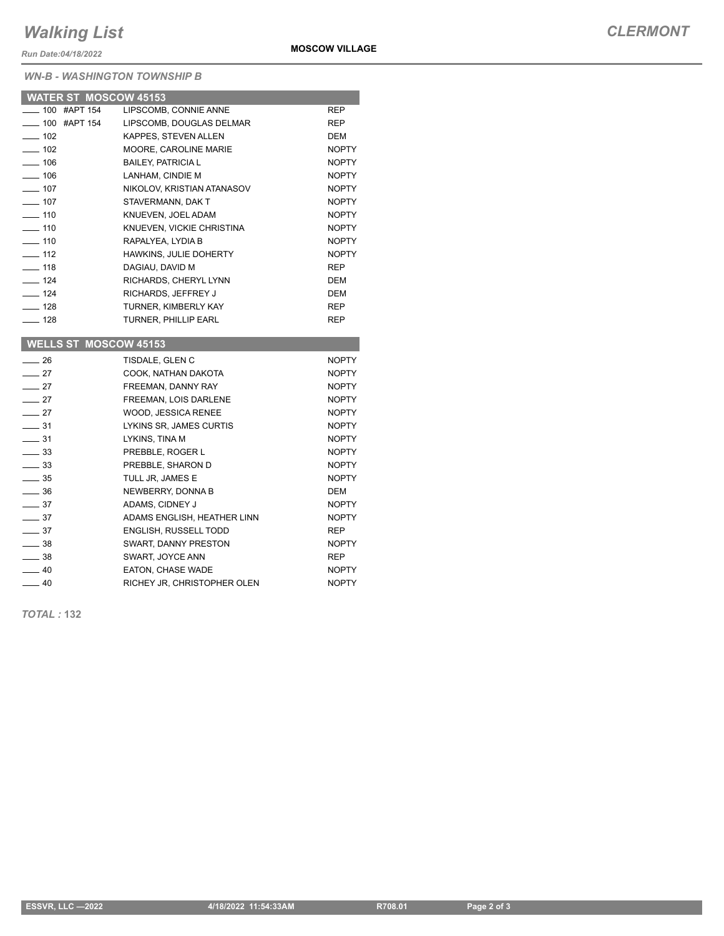## *Walking List*

*Run Date:04/18/2022*

## *WN-B - WASHINGTON TOWNSHIP B*

| <b>WATER ST MOSCOW 45153</b> |                               |              |
|------------------------------|-------------------------------|--------------|
| 100 #APT 154                 | LIPSCOMB, CONNIE ANNE         | <b>REP</b>   |
| —— 100 #APT 154              | LIPSCOMB, DOUGLAS DELMAR      | <b>REP</b>   |
| $\sim$ 102                   | KAPPES, STEVEN ALLEN          | <b>DEM</b>   |
| $\frac{1}{2}$ 102            | MOORE, CAROLINE MARIE         | <b>NOPTY</b> |
| $-106$                       | <b>BAILEY, PATRICIA L</b>     | <b>NOPTY</b> |
| $\frac{106}{106}$            | LANHAM, CINDIE M              | <b>NOPTY</b> |
| $-107$                       | NIKOLOV, KRISTIAN ATANASOV    | <b>NOPTY</b> |
| $\sim$ 107                   | STAVERMANN, DAK T             | <b>NOPTY</b> |
| $- 110$                      | KNUEVEN. JOEL ADAM            | <b>NOPTY</b> |
| $-110$                       | KNUEVEN, VICKIE CHRISTINA     | <b>NOPTY</b> |
| $-110$                       | RAPALYEA, LYDIA B             | <b>NOPTY</b> |
| 112                          | <b>HAWKINS, JULIE DOHERTY</b> | <b>NOPTY</b> |
| $\frac{1}{2}$ 118            | DAGIAU, DAVID M               | <b>REP</b>   |
| $\frac{1}{2}$ 124            | RICHARDS, CHERYL LYNN         | <b>DEM</b>   |
| 124                          | RICHARDS, JEFFREY J           | <b>DEM</b>   |
| $-128$                       | TURNER, KIMBERLY KAY          | <b>REP</b>   |
| $-128$                       | <b>TURNER, PHILLIP EARL</b>   | <b>REP</b>   |
|                              |                               |              |
| <b>WELLS ST MOSCOW 45153</b> |                               |              |
| 26                           | TISDALE, GLEN C               | <b>NOPTY</b> |

| —— 20            | TIODALE. ULEIV U            | <b>IVUETT</b> |
|------------------|-----------------------------|---------------|
| $\sim$ 27        | COOK, NATHAN DAKOTA         | <b>NOPTY</b>  |
| $\frac{1}{27}$   | FREEMAN, DANNY RAY          | <b>NOPTY</b>  |
| $\frac{1}{27}$   | FREEMAN, LOIS DARLENE       | <b>NOPTY</b>  |
| $\sim$ 27        | WOOD, JESSICA RENEE         | <b>NOPTY</b>  |
| $\frac{1}{2}$ 31 | LYKINS SR, JAMES CURTIS     | <b>NOPTY</b>  |
| $\frac{1}{2}$ 31 | LYKINS, TINA M              | <b>NOPTY</b>  |
| $\equiv$ 33      | PREBBLE, ROGER L            | <b>NOPTY</b>  |
| $\frac{1}{2}$ 33 | PREBBLE, SHARON D           | <b>NOPTY</b>  |
| $\frac{1}{2}$ 35 | TULL JR, JAMES E            | <b>NOPTY</b>  |
| $\equiv$ 36      | NEWBERRY, DONNA B           | DEM           |
| $\frac{1}{2}$ 37 | ADAMS, CIDNEY J             | <b>NOPTY</b>  |
| $\frac{1}{2}$ 37 | ADAMS ENGLISH, HEATHER LINN | <b>NOPTY</b>  |
| $\frac{1}{2}$ 37 | ENGLISH, RUSSELL TODD       | <b>REP</b>    |
| $\_\_$ 38        | SWART, DANNY PRESTON        | <b>NOPTY</b>  |
| $\equiv$ 38      | SWART, JOYCE ANN            | <b>REP</b>    |
| $\frac{1}{2}$ 40 | EATON, CHASE WADE           | <b>NOPTY</b>  |
| $\frac{1}{2}$ 40 | RICHEY JR, CHRISTOPHER OLEN | <b>NOPTY</b>  |

*TOTAL :* **132**